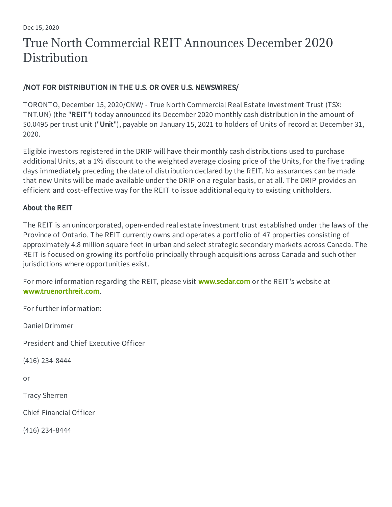# True North Commercial REIT Announces December 2020 **Distribution**

## /NOT FOR DISTRIBUTION IN THE U.S. OR OVER U.S. NEWSWIRES/

TORONTO, December 15, 2020/CNW/ - True North Commercial Real Estate Investment Trust (TSX: TNT.UN) (the "REIT") today announced its December 2020 monthly cash distribution in the amount of \$0.0495 per trust unit ("Unit"), payable on January 15, 2021 to holders of Units of record at December 31, 2020.

Eligible investors registered in the DRIP will have their monthly cash distributions used to purchase additional Units, at a 1% discount to the weighted average closing price of the Units, for the five trading days immediately preceding the date of distribution declared by the REIT. No assurances can be made that new Units will be made available under the DRIP on a regular basis, or at all. The DRIP provides an efficient and cost-effective way for the REIT to issue additional equity to existing unitholders.

## About the REIT

The REIT is an unincorporated, open-ended real estate investment trust established under the laws of the Province of Ontario. The REIT currently owns and operates a portfolio of 47 properties consisting of approximately 4.8 million square feet in urban and select strategic secondary markets across Canada. The REIT is focused on growing its portfolio principally through acquisitions across Canada and such other jurisdictions where opportunities exist.

For more information regarding the REIT, please visit [www.sedar.com](http://www.sedar.com/) or the REIT's website at [www.truenorthreit.com](http://www.truenorthreit.com/).

For further information:

Daniel Drimmer

President and Chief Executive Officer

(416) 234-8444

or

Tracy Sherren

Chief Financial Officer

(416) 234-8444